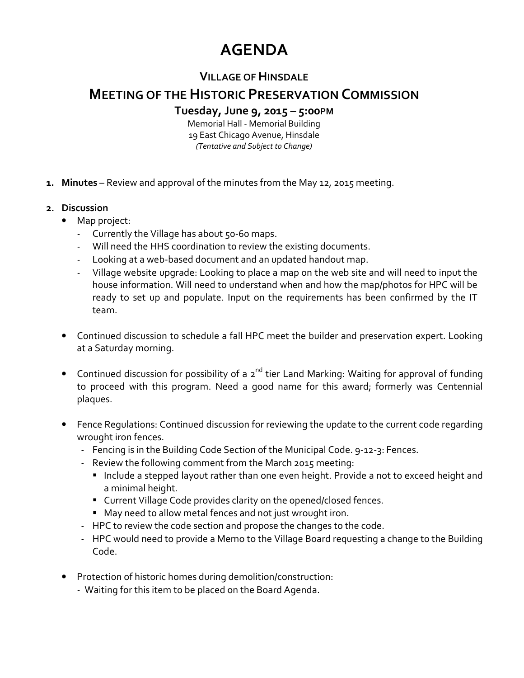## **AGENDA**

## **VILLAGE OF HINSDALE**

## **MEETING OF THE HISTORIC PRESERVATION COMMISSION**

**Tuesday, June 9, 2015 – 5:00PM**

Memorial Hall - Memorial Building 19 East Chicago Avenue, Hinsdale *(Tentative and Subject to Change)* 

- **1. Minutes** Review and approval of the minutes from the May 12, 2015 meeting.
- **2. Discussion** 
	- Map project:
		- Currently the Village has about 50-60 maps.
		- Will need the HHS coordination to review the existing documents.
		- Looking at a web-based document and an updated handout map.
		- Village website upgrade: Looking to place a map on the web site and will need to input the house information. Will need to understand when and how the map/photos for HPC will be ready to set up and populate. Input on the requirements has been confirmed by the IT team.
	- Continued discussion to schedule a fall HPC meet the builder and preservation expert. Looking at a Saturday morning.
	- Continued discussion for possibility of a  $2^{nd}$  tier Land Marking: Waiting for approval of funding to proceed with this program. Need a good name for this award; formerly was Centennial plaques.
	- Fence Regulations: Continued discussion for reviewing the update to the current code regarding wrought iron fences.
		- Fencing is in the Building Code Section of the Municipal Code. 9-12-3: Fences.
		- Review the following comment from the March 2015 meeting:
			- **Include a stepped layout rather than one even height. Provide a not to exceed height and** a minimal height.
			- Current Village Code provides clarity on the opened/closed fences.
			- May need to allow metal fences and not just wrought iron.
		- HPC to review the code section and propose the changes to the code.
		- HPC would need to provide a Memo to the Village Board requesting a change to the Building Code.
	- Protection of historic homes during demolition/construction:
		- Waiting for this item to be placed on the Board Agenda.